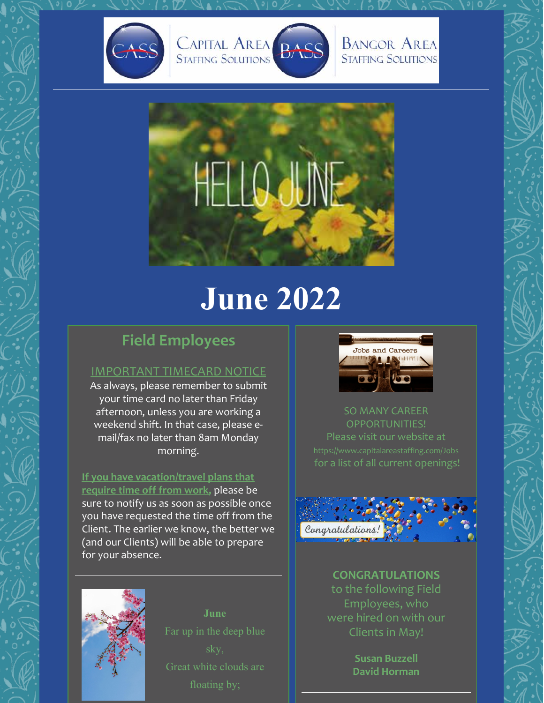







# **June 2022**

## **Field Employees**

#### IMPORTANT TIMECARD NOTICE

As always, please remember to submit your time card no later than Friday afternoon, unless you are working a weekend shift. In that case, please email/fax no later than 8am Monday morning.

**If you have vacation/travel plans that require time off from work,** please be sure to notify us as soon as possible once you have requested the time off from the Client. The earlier we know, the better we (and our Clients) will be able to prepare for your absence.



SO MANY CAREER OPPORTUNITIES! Please visit our website at for a list of all current openings!



**CONGRATULATIONS** to the following Field Employees, who were hired on with our Clients in May!

> **Susan Buzzell David Horman**



**June**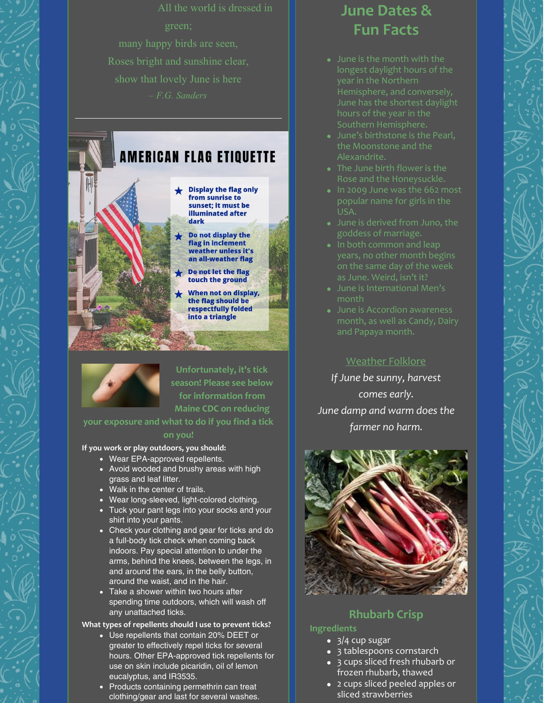# **AMERICAN FLAG ETIOUETTE**

- Display the flag only from sunrise to sunset: it must be **illuminated after** dark
	- $\blacktriangleright$  Do not display the flag in inclement weather unless it's an all-weather flag
	- Do not let the flag touch the ground
	- When not on display, the flag should be respectfully folded into a triangle



**Unfortunately, it's tick season! Please see below for information from Maine CDC on reducing**

#### **your exposure and what to do if you find a tick**

#### **on you!**

**If you work or play outdoors, you should:**

- Wear EPA-approved repellents.
- Avoid wooded and brushy areas with high grass and leaf litter.
- Walk in the center of trails.
- Wear long-sleeved, light-colored clothing.
- Tuck your pant legs into your socks and your shirt into your pants.
- Check your clothing and gear for ticks and do a full-body tick check when coming back indoors. Pay special attention to under the arms, behind the knees, between the legs, in and around the ears, in the belly button, around the waist, and in the hair.
- Take a shower within two hours after spending time outdoors, which will wash off any unattached ticks.

#### **What types of repellents should I use to prevent ticks?**

- Use repellents that contain 20% DEET or greater to effectively repel ticks for several hours. Other EPA-approved tick repellents for use on skin include picaridin, oil of lemon eucalyptus, and IR3535.
- Products containing permethrin can treat clothing/gear and last for several washes.

## **June Dates & Fun Facts**

- longest daylight hours of the hours of the year in the Southern Hemisphere.
- June's birthstone is the Pearl, the Moonstone and the Alexandrite.
- The June birth flower is the Rose and the Honeysuckle.
- In 2009 June was the 662 most USA.
- June is derived from Juno, the goddess of marriage.
- years, no other month begins on the same day of the week as June. Weird, isn't it?
- June is International Men's month
- June is Accordion awareness

#### Weather Folklore

*If June be sunny, harvest comes early. June damp and warm does the farmer no harm.*



### **Rhubarb Crisp**

#### **Ingredients**

- 3/4 cup sugar
- 3 tablespoons cornstarch 3 cups sliced fresh rhubarb or frozen rhubarb, thawed
- 2 cups sliced peeled apples or sliced strawberries